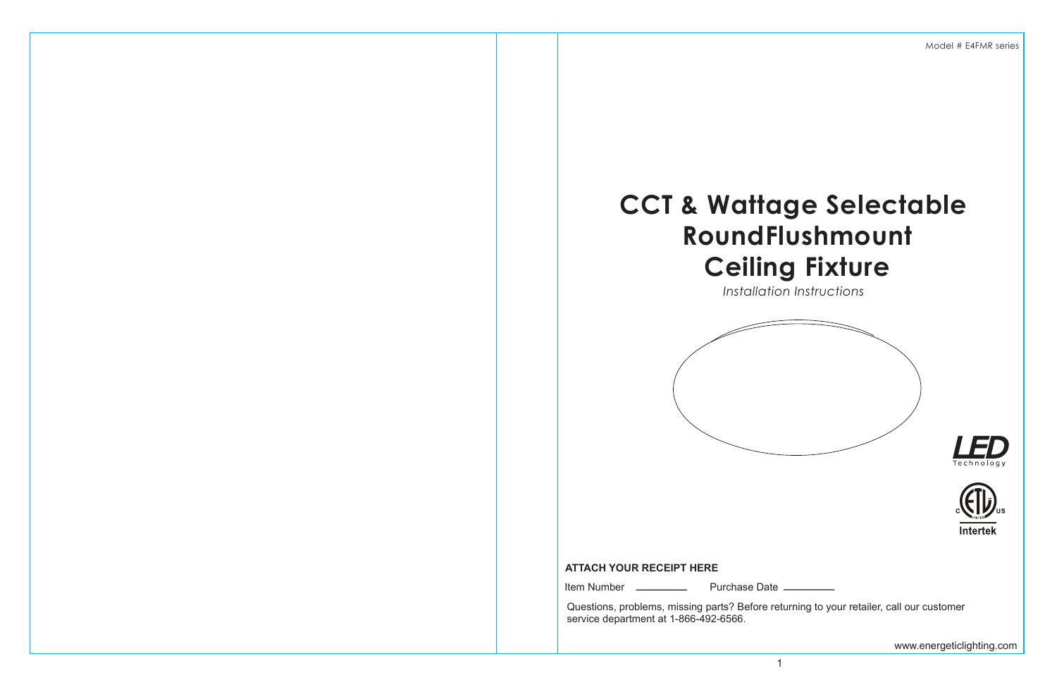# **CCT & Wattage Selectable RoundFlushmount Ceiling Fixture**

*Installation Instructions*







Model # E4FMR series

Questions, problems, missing parts? Before returning to your retailer, call our customer service department at 1-866-492-6566.

Item Number Purchase Date

# **ATTACH YOUR RECEIPT HERE**

www.energeticlighting.com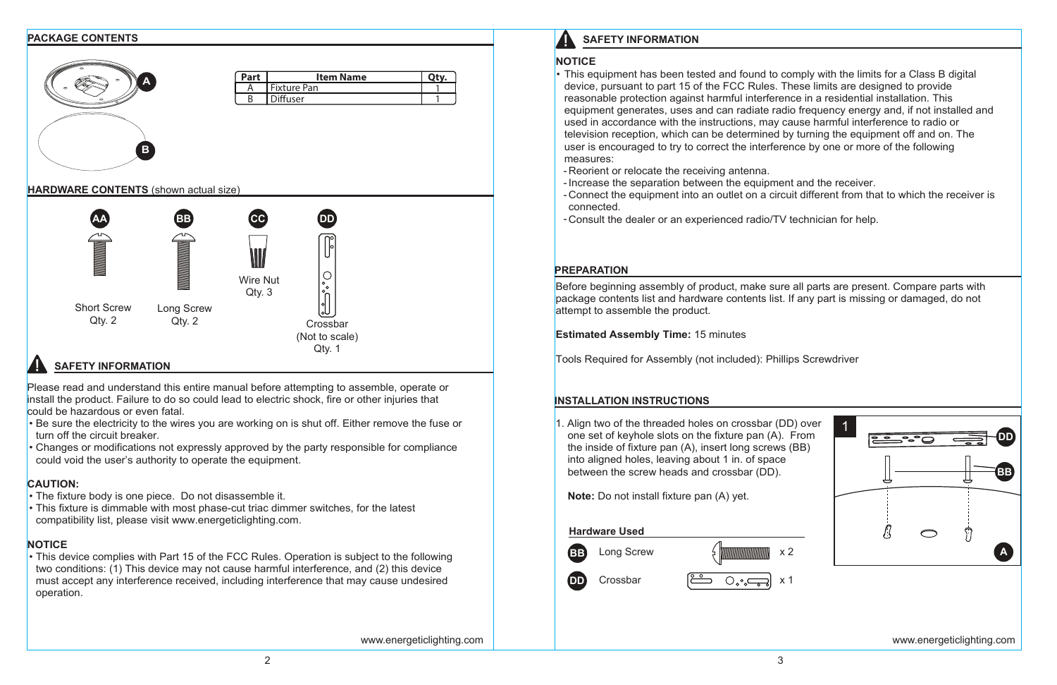- measures:
- Reorient or relocate the receiving antenna. -
- 
- 

- Be sure the electricity to the wires you are working on is shut off. Either remove the fuse or turn off the circuit breaker.
- Changes or modifications not expressly approved by the party responsible for compliance could void the user's authority to operate the equipment.

Please read and understand this entire manual before attempting to assemble, operate or install the product. Failure to do so could lead to electric shock, fire or other injuries that could be hazardous or even fatal.

**NOTICE** Before beginning assembly of product, make sure all parts are present. Compare parts with package contents list and hardware contents list. If any part is missing or damaged, do not attempt to assemble the product. **Estimated Assembly Time:** 15 minutes **INSTALLATION INSTRUCTIONS PREPARATION**

This equipment has been tested and found to comply with the limits for a Class B digital • device, pursuant to part 15 of the FCC Rules. These limits are designed to provide reasonable protection against harmful interference in a residential installation. This equipment generates, uses and can radiate radio frequency energy and, if not installed and used in accordance with the instructions, may cause harmful interference to radio or television reception, which can be determined by turning the equipment off and on. The user is encouraged to try to correct the interference by one or more of the following - Increase the separation between the equipment and the receiver. Connect the equipment into an outlet on a circuit different from that to which the receiver is connected. Consult the dealer or an experienced radio/TV technician for help. - 1. Align two of the threaded holes on crossbar (DD) over 1 one set of keyhole slots on the fixture pan (A). From **DD** the inside of fixture pan (A), insert long screws (BB) into aligned holes, leaving about 1 in. of space between the screw heads and crossbar (DD). **BB Note:** Do not install fixture pan (A) yet. **Hardware Used**  $\bigcirc$ **BB**  $Long$  Screw  $\frac{1}{2}$   $\frac{1}{2}$   $\frac{1}{2}$   $\times$  2 **A**

# **CAUTION:**



- The fixture body is one piece. Do not disassemble it. •
- This fixture is dimmable with most phase-cut triac dimmer switches, for the latest compatibility list, please visit www.energeticlighting.com.

# **NOTICE**

This device complies with Part 15 of the FCC Rules. Operation is subject to the following • two conditions: (1) This device may not cause harmful interference, and (2) this device must accept any interference received, including interference that may cause undesired operation.



www.energeticlighting.com www.energeticlighting.com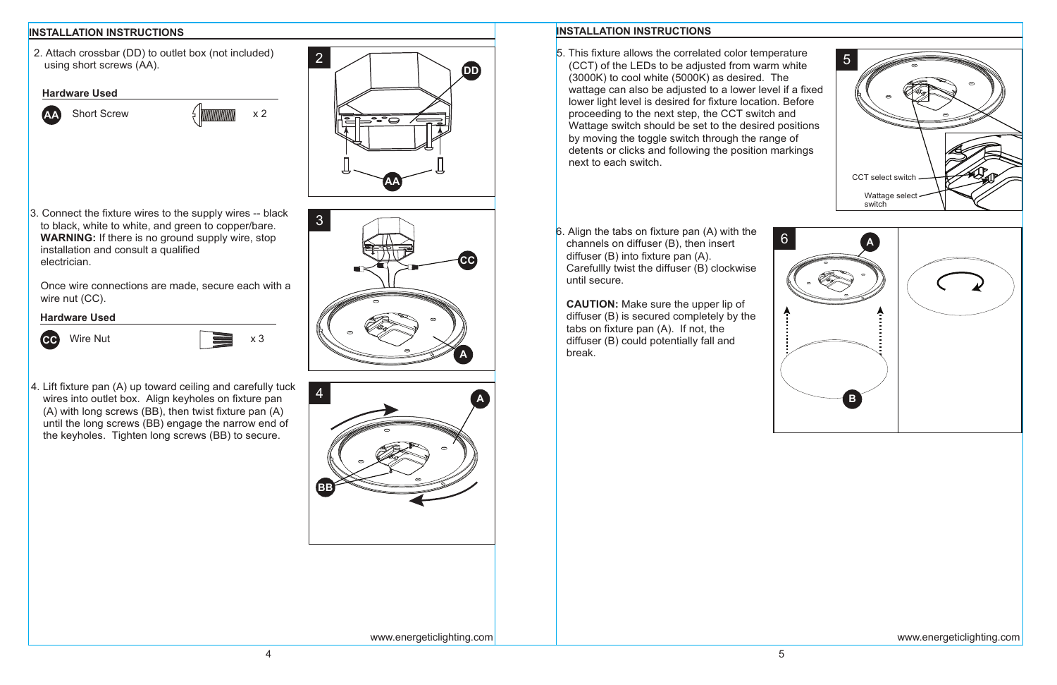

2. Attach crossbar (DD) to outlet box (not included) using short screws (AA). 2

**CC**

3. Connect the fixture wires to the supply wires -- black to black, white to white, and green to copper/bare. **WARNING:** If there is no ground supply wire, stop installation and consult a qualified electrician.

Once wire connections are made, secure each with a wire nut (CC).

3

4. Lift fixture pan (A) up toward ceiling and carefully tuck wires into outlet box. Align keyholes on fixture pan (A) with long screws (BB), then twist fixture pan (A) until the long screws (BB) engage the narrow end of the keyholes. Tighten long screws (BB) to secure.

### **Hardware Used**



## **Hardware Used**





**CAUTION:** Make sure the upper lip of diffuser (B) is secured completely by the tabs on fixture pan (A). If not, the diffuser (B) could potentially fall and break.

- 5. This fixture allows the correlated color temperature (CCT) of the LEDs to be adjusted from warm white (3000K) to cool white (5000K) as desired. The wattage can also be adjusted to a lower level if a fixed lower light level is desired for fixture location. Before proceeding to the next step, the CCT switch and Wattage switch should be set to the desired positions by moving the toggle switch through the range of detents or clicks and following the position markings next to each switch.
- 6. Align the tabs on fixture pan (A) with the channels on diffuser (B), then insert diffuser (B) into fixture pan (A). Carefullly twist the diffuser (B) clockwise until secure.



**A**